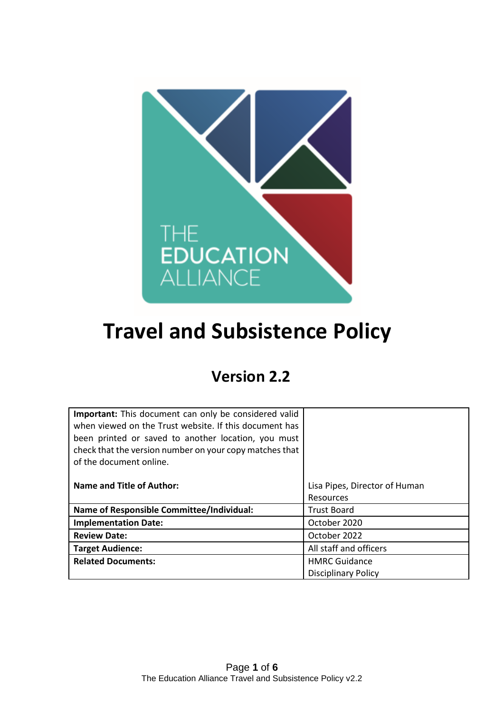

# **Travel and Subsistence Policy**

# **Version 2.2**

| <b>Important:</b> This document can only be considered valid<br>when viewed on the Trust website. If this document has<br>been printed or saved to another location, you must<br>check that the version number on your copy matches that<br>of the document online. |                               |
|---------------------------------------------------------------------------------------------------------------------------------------------------------------------------------------------------------------------------------------------------------------------|-------------------------------|
| <b>Name and Title of Author:</b>                                                                                                                                                                                                                                    | Lisa Pipes, Director of Human |
|                                                                                                                                                                                                                                                                     | Resources                     |
| Name of Responsible Committee/Individual:                                                                                                                                                                                                                           | <b>Trust Board</b>            |
| <b>Implementation Date:</b>                                                                                                                                                                                                                                         | October 2020                  |
| <b>Review Date:</b>                                                                                                                                                                                                                                                 | October 2022                  |
| <b>Target Audience:</b>                                                                                                                                                                                                                                             | All staff and officers        |
| <b>Related Documents:</b>                                                                                                                                                                                                                                           | <b>HMRC Guidance</b>          |
|                                                                                                                                                                                                                                                                     | <b>Disciplinary Policy</b>    |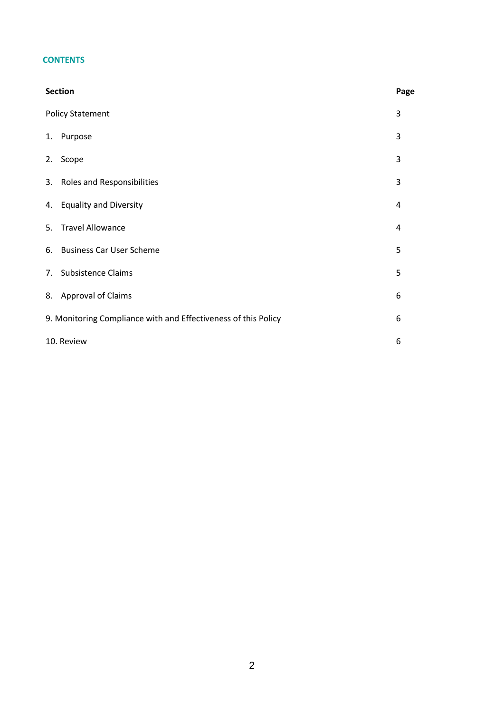# **CONTENTS**

|                | <b>Section</b>                                                 |   |
|----------------|----------------------------------------------------------------|---|
|                | <b>Policy Statement</b>                                        |   |
|                | 1. Purpose                                                     | 3 |
| 2.             | Scope                                                          | 3 |
|                | 3. Roles and Responsibilities                                  | 3 |
|                | 4. Equality and Diversity                                      | 4 |
| 5 <sub>1</sub> | <b>Travel Allowance</b>                                        | 4 |
|                | 6. Business Car User Scheme                                    | 5 |
| 7.             | <b>Subsistence Claims</b>                                      | 5 |
|                | 8. Approval of Claims                                          | 6 |
|                | 9. Monitoring Compliance with and Effectiveness of this Policy | 6 |
|                | 10. Review                                                     |   |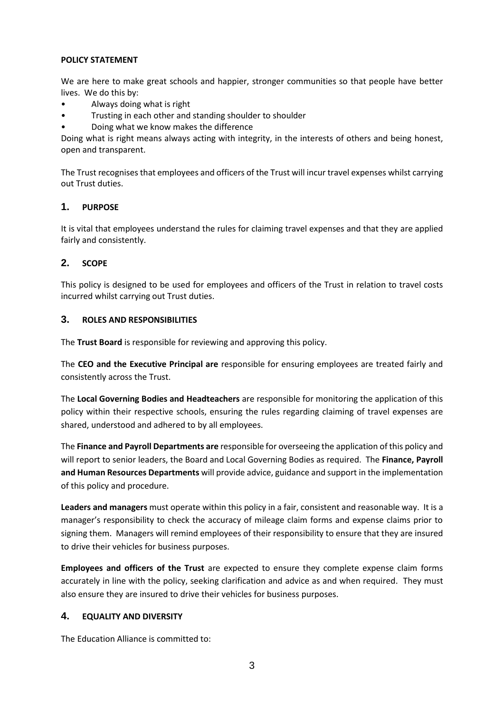### **POLICY STATEMENT**

We are here to make great schools and happier, stronger communities so that people have better lives. We do this by:

- Always doing what is right
- Trusting in each other and standing shoulder to shoulder
- Doing what we know makes the difference

Doing what is right means always acting with integrity, in the interests of others and being honest, open and transparent.

The Trust recognises that employees and officers of the Trust will incur travel expenses whilst carrying out Trust duties.

# **1. PURPOSE**

It is vital that employees understand the rules for claiming travel expenses and that they are applied fairly and consistently.

#### **2. SCOPE**

This policy is designed to be used for employees and officers of the Trust in relation to travel costs incurred whilst carrying out Trust duties.

#### **3. ROLES AND RESPONSIBILITIES**

The **Trust Board** is responsible for reviewing and approving this policy.

The **CEO and the Executive Principal are** responsible for ensuring employees are treated fairly and consistently across the Trust.

The **Local Governing Bodies and Headteachers** are responsible for monitoring the application of this policy within their respective schools, ensuring the rules regarding claiming of travel expenses are shared, understood and adhered to by all employees.

The **Finance and Payroll Departments are** responsible for overseeing the application of this policy and will report to senior leaders, the Board and Local Governing Bodies as required. The **Finance, Payroll and Human Resources Departments** will provide advice, guidance and support in the implementation of this policy and procedure.

**Leaders and managers** must operate within this policy in a fair, consistent and reasonable way. It is a manager's responsibility to check the accuracy of mileage claim forms and expense claims prior to signing them. Managers will remind employees of their responsibility to ensure that they are insured to drive their vehicles for business purposes.

**Employees and officers of the Trust** are expected to ensure they complete expense claim forms accurately in line with the policy, seeking clarification and advice as and when required. They must also ensure they are insured to drive their vehicles for business purposes.

# **4. EQUALITY AND DIVERSITY**

The Education Alliance is committed to: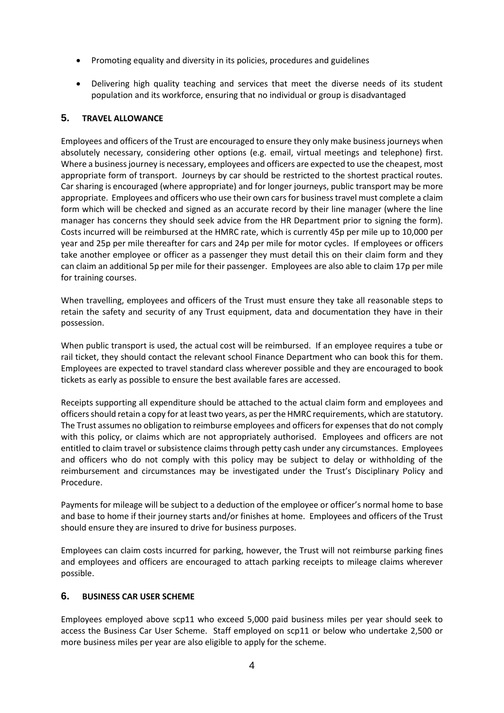- Promoting equality and diversity in its policies, procedures and guidelines
- Delivering high quality teaching and services that meet the diverse needs of its student population and its workforce, ensuring that no individual or group is disadvantaged

# **5. TRAVEL ALLOWANCE**

Employees and officers of the Trust are encouraged to ensure they only make business journeys when absolutely necessary, considering other options (e.g. email, virtual meetings and telephone) first. Where a business journey is necessary, employees and officers are expected to use the cheapest, most appropriate form of transport. Journeys by car should be restricted to the shortest practical routes. Car sharing is encouraged (where appropriate) and for longer journeys, public transport may be more appropriate. Employees and officers who use their own cars for business travel must complete a claim form which will be checked and signed as an accurate record by their line manager (where the line manager has concerns they should seek advice from the HR Department prior to signing the form). Costs incurred will be reimbursed at the HMRC rate, which is currently 45p per mile up to 10,000 per year and 25p per mile thereafter for cars and 24p per mile for motor cycles. If employees or officers take another employee or officer as a passenger they must detail this on their claim form and they can claim an additional 5p per mile for their passenger. Employees are also able to claim 17p per mile for training courses.

When travelling, employees and officers of the Trust must ensure they take all reasonable steps to retain the safety and security of any Trust equipment, data and documentation they have in their possession.

When public transport is used, the actual cost will be reimbursed. If an employee requires a tube or rail ticket, they should contact the relevant school Finance Department who can book this for them. Employees are expected to travel standard class wherever possible and they are encouraged to book tickets as early as possible to ensure the best available fares are accessed.

Receipts supporting all expenditure should be attached to the actual claim form and employees and officers should retain a copy for at least two years, as per the HMRC requirements, which are statutory. The Trust assumes no obligation to reimburse employees and officers for expenses that do not comply with this policy, or claims which are not appropriately authorised. Employees and officers are not entitled to claim travel or subsistence claims through petty cash under any circumstances. Employees and officers who do not comply with this policy may be subject to delay or withholding of the reimbursement and circumstances may be investigated under the Trust's Disciplinary Policy and Procedure.

Payments for mileage will be subject to a deduction of the employee or officer's normal home to base and base to home if their journey starts and/or finishes at home. Employees and officers of the Trust should ensure they are insured to drive for business purposes.

Employees can claim costs incurred for parking, however, the Trust will not reimburse parking fines and employees and officers are encouraged to attach parking receipts to mileage claims wherever possible.

# **6. BUSINESS CAR USER SCHEME**

Employees employed above scp11 who exceed 5,000 paid business miles per year should seek to access the Business Car User Scheme. Staff employed on scp11 or below who undertake 2,500 or more business miles per year are also eligible to apply for the scheme.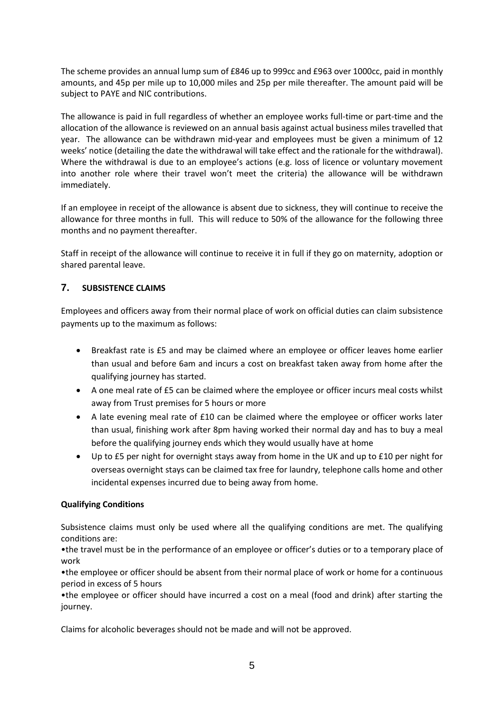The scheme provides an annual lump sum of £846 up to 999cc and £963 over 1000cc, paid in monthly amounts, and 45p per mile up to 10,000 miles and 25p per mile thereafter. The amount paid will be subject to PAYE and NIC contributions.

The allowance is paid in full regardless of whether an employee works full-time or part-time and the allocation of the allowance is reviewed on an annual basis against actual business miles travelled that year. The allowance can be withdrawn mid-year and employees must be given a minimum of 12 weeks' notice (detailing the date the withdrawal will take effect and the rationale for the withdrawal). Where the withdrawal is due to an employee's actions (e.g. loss of licence or voluntary movement into another role where their travel won't meet the criteria) the allowance will be withdrawn immediately.

If an employee in receipt of the allowance is absent due to sickness, they will continue to receive the allowance for three months in full. This will reduce to 50% of the allowance for the following three months and no payment thereafter.

Staff in receipt of the allowance will continue to receive it in full if they go on maternity, adoption or shared parental leave.

# **7. SUBSISTENCE CLAIMS**

Employees and officers away from their normal place of work on official duties can claim subsistence payments up to the maximum as follows:

- Breakfast rate is £5 and may be claimed where an employee or officer leaves home earlier than usual and before 6am and incurs a cost on breakfast taken away from home after the qualifying journey has started.
- A one meal rate of £5 can be claimed where the employee or officer incurs meal costs whilst away from Trust premises for 5 hours or more
- A late evening meal rate of £10 can be claimed where the employee or officer works later than usual, finishing work after 8pm having worked their normal day and has to buy a meal before the qualifying journey ends which they would usually have at home
- Up to £5 per night for overnight stays away from home in the UK and up to £10 per night for overseas overnight stays can be claimed tax free for laundry, telephone calls home and other incidental expenses incurred due to being away from home.

# **Qualifying Conditions**

Subsistence claims must only be used where all the qualifying conditions are met. The qualifying conditions are:

•the travel must be in the performance of an employee or officer's duties or to a temporary place of work

•the employee or officer should be absent from their normal place of work or home for a continuous period in excess of 5 hours

•the employee or officer should have incurred a cost on a meal (food and drink) after starting the journey.

Claims for alcoholic beverages should not be made and will not be approved.